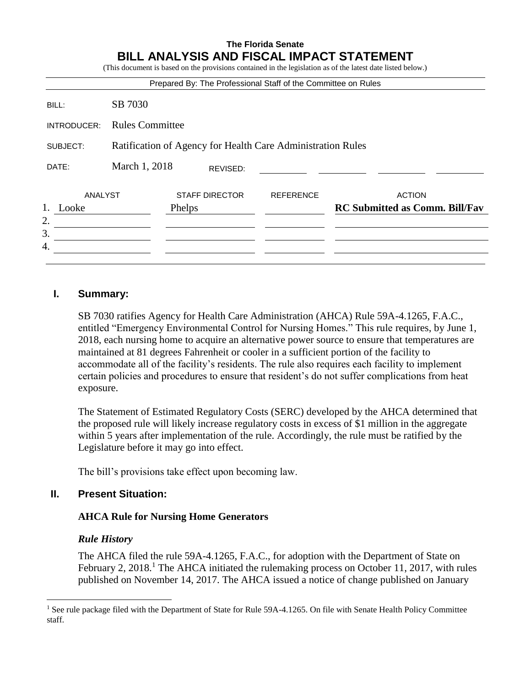#### **The Florida Senate BILL ANALYSIS AND FISCAL IMPACT STATEMENT** (This document is based on the provisions contained in the legislation as of the latest date listed below.)

|                                    |                                                             | Prepared By: The Professional Staff of the Committee on Rules |                  |                                                        |
|------------------------------------|-------------------------------------------------------------|---------------------------------------------------------------|------------------|--------------------------------------------------------|
| BILL:                              | SB 7030                                                     |                                                               |                  |                                                        |
| INTRODUCER:                        | <b>Rules Committee</b>                                      |                                                               |                  |                                                        |
| SUBJECT:                           | Ratification of Agency for Health Care Administration Rules |                                                               |                  |                                                        |
| DATE:                              | March 1, 2018<br>REVISED:                                   |                                                               |                  |                                                        |
| ANALYST<br>Looke<br>2.<br>3.<br>4. | Phelps                                                      | <b>STAFF DIRECTOR</b>                                         | <b>REFERENCE</b> | <b>ACTION</b><br><b>RC Submitted as Comm. Bill/Fav</b> |

## **I. Summary:**

SB 7030 ratifies Agency for Health Care Administration (AHCA) Rule 59A-4.1265, F.A.C., entitled "Emergency Environmental Control for Nursing Homes." This rule requires, by June 1, 2018, each nursing home to acquire an alternative power source to ensure that temperatures are maintained at 81 degrees Fahrenheit or cooler in a sufficient portion of the facility to accommodate all of the facility's residents. The rule also requires each facility to implement certain policies and procedures to ensure that resident's do not suffer complications from heat exposure.

The Statement of Estimated Regulatory Costs (SERC) developed by the AHCA determined that the proposed rule will likely increase regulatory costs in excess of \$1 million in the aggregate within 5 years after implementation of the rule. Accordingly, the rule must be ratified by the Legislature before it may go into effect.

The bill's provisions take effect upon becoming law.

## **II. Present Situation:**

## **AHCA Rule for Nursing Home Generators**

## *Rule History*

 $\overline{a}$ 

The AHCA filed the rule 59A-4.1265, F.A.C., for adoption with the Department of State on February 2, 2018.<sup>1</sup> The AHCA initiated the rulemaking process on October 11, 2017, with rules published on November 14, 2017. The AHCA issued a notice of change published on January

<sup>&</sup>lt;sup>1</sup> See rule package filed with the Department of State for Rule 59A-4.1265. On file with Senate Health Policy Committee staff.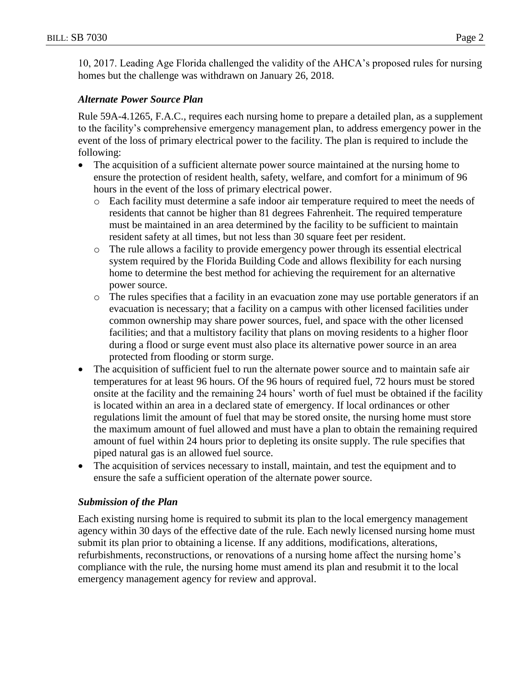10, 2017. Leading Age Florida challenged the validity of the AHCA's proposed rules for nursing homes but the challenge was withdrawn on January 26, 2018.

## *Alternate Power Source Plan*

Rule 59A-4.1265, F.A.C., requires each nursing home to prepare a detailed plan, as a supplement to the facility's comprehensive emergency management plan, to address emergency power in the event of the loss of primary electrical power to the facility. The plan is required to include the following:

- The acquisition of a sufficient alternate power source maintained at the nursing home to ensure the protection of resident health, safety, welfare, and comfort for a minimum of 96 hours in the event of the loss of primary electrical power.
	- o Each facility must determine a safe indoor air temperature required to meet the needs of residents that cannot be higher than 81 degrees Fahrenheit. The required temperature must be maintained in an area determined by the facility to be sufficient to maintain resident safety at all times, but not less than 30 square feet per resident.
	- o The rule allows a facility to provide emergency power through its essential electrical system required by the Florida Building Code and allows flexibility for each nursing home to determine the best method for achieving the requirement for an alternative power source.
	- o The rules specifies that a facility in an evacuation zone may use portable generators if an evacuation is necessary; that a facility on a campus with other licensed facilities under common ownership may share power sources, fuel, and space with the other licensed facilities; and that a multistory facility that plans on moving residents to a higher floor during a flood or surge event must also place its alternative power source in an area protected from flooding or storm surge.
- The acquisition of sufficient fuel to run the alternate power source and to maintain safe air temperatures for at least 96 hours. Of the 96 hours of required fuel, 72 hours must be stored onsite at the facility and the remaining 24 hours' worth of fuel must be obtained if the facility is located within an area in a declared state of emergency. If local ordinances or other regulations limit the amount of fuel that may be stored onsite, the nursing home must store the maximum amount of fuel allowed and must have a plan to obtain the remaining required amount of fuel within 24 hours prior to depleting its onsite supply. The rule specifies that piped natural gas is an allowed fuel source.
- The acquisition of services necessary to install, maintain, and test the equipment and to ensure the safe a sufficient operation of the alternate power source.

## *Submission of the Plan*

Each existing nursing home is required to submit its plan to the local emergency management agency within 30 days of the effective date of the rule. Each newly licensed nursing home must submit its plan prior to obtaining a license. If any additions, modifications, alterations, refurbishments, reconstructions, or renovations of a nursing home affect the nursing home's compliance with the rule, the nursing home must amend its plan and resubmit it to the local emergency management agency for review and approval.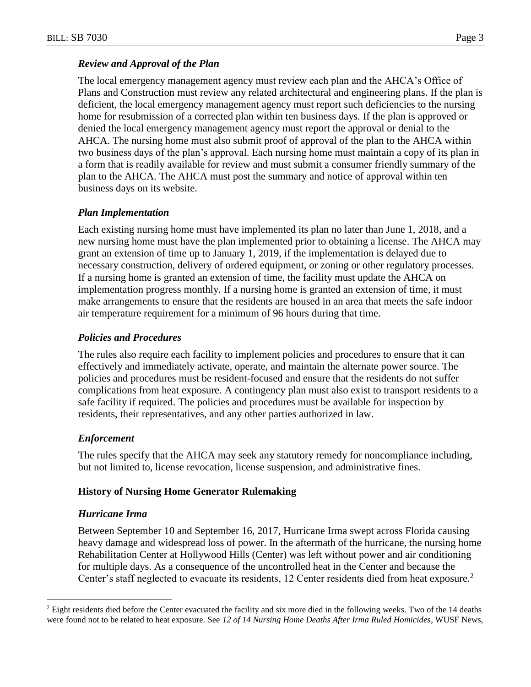## *Review and Approval of the Plan*

The local emergency management agency must review each plan and the AHCA's Office of Plans and Construction must review any related architectural and engineering plans. If the plan is deficient, the local emergency management agency must report such deficiencies to the nursing home for resubmission of a corrected plan within ten business days. If the plan is approved or denied the local emergency management agency must report the approval or denial to the AHCA. The nursing home must also submit proof of approval of the plan to the AHCA within two business days of the plan's approval. Each nursing home must maintain a copy of its plan in a form that is readily available for review and must submit a consumer friendly summary of the plan to the AHCA. The AHCA must post the summary and notice of approval within ten business days on its website.

### *Plan Implementation*

Each existing nursing home must have implemented its plan no later than June 1, 2018, and a new nursing home must have the plan implemented prior to obtaining a license. The AHCA may grant an extension of time up to January 1, 2019, if the implementation is delayed due to necessary construction, delivery of ordered equipment, or zoning or other regulatory processes. If a nursing home is granted an extension of time, the facility must update the AHCA on implementation progress monthly. If a nursing home is granted an extension of time, it must make arrangements to ensure that the residents are housed in an area that meets the safe indoor air temperature requirement for a minimum of 96 hours during that time.

### *Policies and Procedures*

The rules also require each facility to implement policies and procedures to ensure that it can effectively and immediately activate, operate, and maintain the alternate power source. The policies and procedures must be resident-focused and ensure that the residents do not suffer complications from heat exposure. A contingency plan must also exist to transport residents to a safe facility if required. The policies and procedures must be available for inspection by residents, their representatives, and any other parties authorized in law.

#### *Enforcement*

The rules specify that the AHCA may seek any statutory remedy for noncompliance including, but not limited to, license revocation, license suspension, and administrative fines.

#### **History of Nursing Home Generator Rulemaking**

#### *Hurricane Irma*

 $\overline{a}$ 

Between September 10 and September 16, 2017, Hurricane Irma swept across Florida causing heavy damage and widespread loss of power. In the aftermath of the hurricane, the nursing home Rehabilitation Center at Hollywood Hills (Center) was left without power and air conditioning for multiple days. As a consequence of the uncontrolled heat in the Center and because the Center's staff neglected to evacuate its residents, 12 Center residents died from heat exposure.<sup>2</sup>

<sup>&</sup>lt;sup>2</sup> Eight residents died before the Center evacuated the facility and six more died in the following weeks. Two of the 14 deaths were found not to be related to heat exposure. See *12 of 14 Nursing Home Deaths After Irma Ruled Homicides*, WUSF News,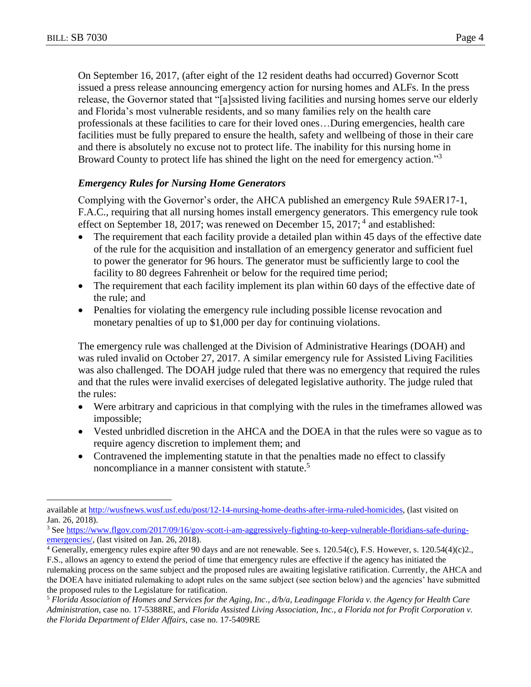On September 16, 2017, (after eight of the 12 resident deaths had occurred) Governor Scott issued a press release announcing emergency action for nursing homes and ALFs. In the press release, the Governor stated that "[a]ssisted living facilities and nursing homes serve our elderly and Florida's most vulnerable residents, and so many families rely on the health care professionals at these facilities to care for their loved ones…During emergencies, health care facilities must be fully prepared to ensure the health, safety and wellbeing of those in their care and there is absolutely no excuse not to protect life. The inability for this nursing home in Broward County to protect life has shined the light on the need for emergency action."<sup>3</sup>

# *Emergency Rules for Nursing Home Generators*

Complying with the Governor's order, the AHCA published an emergency Rule 59AER17-1, F.A.C., requiring that all nursing homes install emergency generators. This emergency rule took effect on September 18, 2017; was renewed on December 15, 2017;<sup>4</sup> and established:

- The requirement that each facility provide a detailed plan within 45 days of the effective date of the rule for the acquisition and installation of an emergency generator and sufficient fuel to power the generator for 96 hours. The generator must be sufficiently large to cool the facility to 80 degrees Fahrenheit or below for the required time period;
- The requirement that each facility implement its plan within 60 days of the effective date of the rule; and
- Penalties for violating the emergency rule including possible license revocation and monetary penalties of up to \$1,000 per day for continuing violations.

The emergency rule was challenged at the Division of Administrative Hearings (DOAH) and was ruled invalid on October 27, 2017. A similar emergency rule for Assisted Living Facilities was also challenged. The DOAH judge ruled that there was no emergency that required the rules and that the rules were invalid exercises of delegated legislative authority. The judge ruled that the rules:

- Were arbitrary and capricious in that complying with the rules in the timeframes allowed was impossible;
- Vested unbridled discretion in the AHCA and the DOEA in that the rules were so vague as to require agency discretion to implement them; and
- Contravened the implementing statute in that the penalties made no effect to classify noncompliance in a manner consistent with statute.<sup>5</sup>

 $\overline{a}$ available at [http://wusfnews.wusf.usf.edu/post/12-14-nursing-home-deaths-after-irma-ruled-homicides,](http://wusfnews.wusf.usf.edu/post/12-14-nursing-home-deaths-after-irma-ruled-homicides) (last visited on Jan. 26, 2018).

<sup>&</sup>lt;sup>3</sup> Se[e https://www.flgov.com/2017/09/16/gov-scott-i-am-aggressively-fighting-to-keep-vulnerable-floridians-safe-during](https://www.flgov.com/2017/09/16/gov-scott-i-am-aggressively-fighting-to-keep-vulnerable-floridians-safe-during-emergencies/)[emergencies/,](https://www.flgov.com/2017/09/16/gov-scott-i-am-aggressively-fighting-to-keep-vulnerable-floridians-safe-during-emergencies/) (last visited on Jan. 26, 2018).

<sup>4</sup> Generally, emergency rules expire after 90 days and are not renewable. See s. 120.54(c), F.S. However, s. 120.54(4)(c)2., F.S., allows an agency to extend the period of time that emergency rules are effective if the agency has initiated the

rulemaking process on the same subject and the proposed rules are awaiting legislative ratification. Currently, the AHCA and the DOEA have initiated rulemaking to adopt rules on the same subject (see section below) and the agencies' have submitted the proposed rules to the Legislature for ratification.

<sup>5</sup> *Florida Association of Homes and Services for the Aging, Inc., d/b/a, Leadingage Florida v. the Agency for Health Care Administration*, case no. 17-5388RE, and *Florida Assisted Living Association, Inc., a Florida not for Profit Corporation v. the Florida Department of Elder Affairs,* case no. 17-5409RE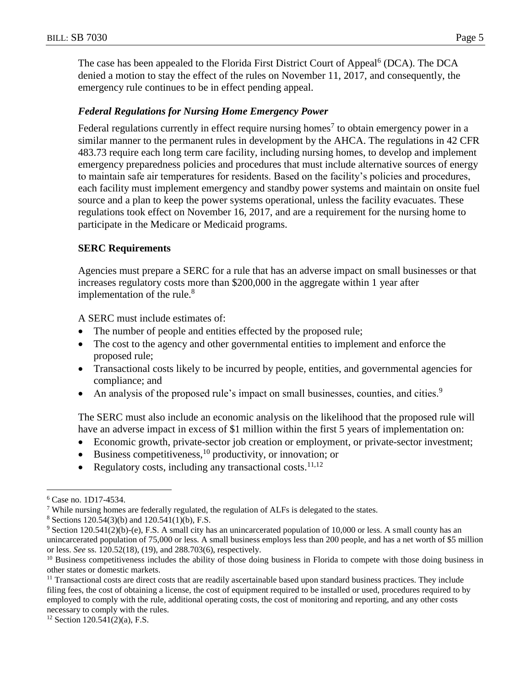The case has been appealed to the Florida First District Court of Appeal<sup>6</sup> (DCA). The DCA denied a motion to stay the effect of the rules on November 11, 2017, and consequently, the emergency rule continues to be in effect pending appeal.

## *Federal Regulations for Nursing Home Emergency Power*

Federal regulations currently in effect require nursing homes<sup>7</sup> to obtain emergency power in a similar manner to the permanent rules in development by the AHCA. The regulations in 42 CFR 483.73 require each long term care facility, including nursing homes, to develop and implement emergency preparedness policies and procedures that must include alternative sources of energy to maintain safe air temperatures for residents. Based on the facility's policies and procedures, each facility must implement emergency and standby power systems and maintain on onsite fuel source and a plan to keep the power systems operational, unless the facility evacuates. These regulations took effect on November 16, 2017, and are a requirement for the nursing home to participate in the Medicare or Medicaid programs.

## **SERC Requirements**

Agencies must prepare a SERC for a rule that has an adverse impact on small businesses or that increases regulatory costs more than \$200,000 in the aggregate within 1 year after implementation of the rule. $8$ 

A SERC must include estimates of:

- The number of people and entities effected by the proposed rule;
- The cost to the agency and other governmental entities to implement and enforce the proposed rule;
- Transactional costs likely to be incurred by people, entities, and governmental agencies for compliance; and
- An analysis of the proposed rule's impact on small businesses, counties, and cities.<sup>9</sup>

The SERC must also include an economic analysis on the likelihood that the proposed rule will have an adverse impact in excess of \$1 million within the first 5 years of implementation on:

- Economic growth, private-sector job creation or employment, or private-sector investment;
- $\bullet$  Business competitiveness,<sup>10</sup> productivity, or innovation; or
- Regulatory costs, including any transactional costs.<sup>11,12</sup>

 $\overline{a}$ 

<sup>6</sup> Case no. 1D17-4534.

 $\frac{7}{7}$  While nursing homes are federally regulated, the regulation of ALFs is delegated to the states.

 $8$  Sections 120.54(3)(b) and 120.541(1)(b), F.S.

<sup>9</sup> Section 120.541(2)(b)-(e), F.S. A small city has an unincarcerated population of 10,000 or less. A small county has an unincarcerated population of 75,000 or less. A small business employs less than 200 people, and has a net worth of \$5 million or less. *See* ss. 120.52(18), (19), and 288.703(6), respectively.

<sup>&</sup>lt;sup>10</sup> Business competitiveness includes the ability of those doing business in Florida to compete with those doing business in other states or domestic markets.

<sup>&</sup>lt;sup>11</sup> Transactional costs are direct costs that are readily ascertainable based upon standard business practices. They include filing fees, the cost of obtaining a license, the cost of equipment required to be installed or used, procedures required to by employed to comply with the rule, additional operating costs, the cost of monitoring and reporting, and any other costs necessary to comply with the rules.

 $12$  Section 120.541(2)(a), F.S.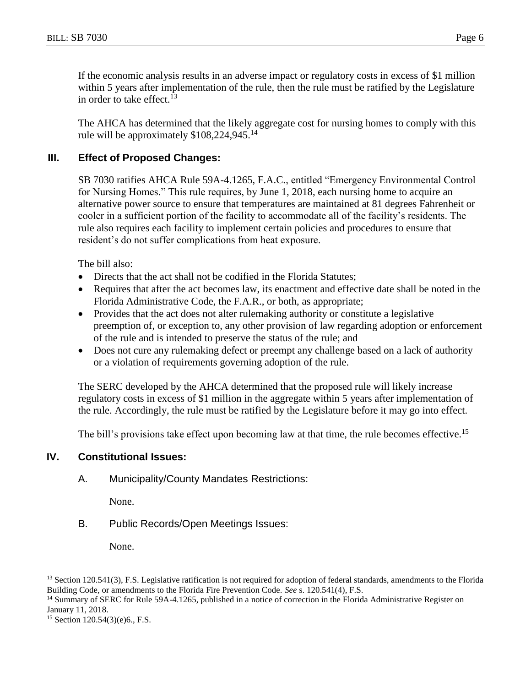If the economic analysis results in an adverse impact or regulatory costs in excess of \$1 million within 5 years after implementation of the rule, then the rule must be ratified by the Legislature in order to take effect. 13

The AHCA has determined that the likely aggregate cost for nursing homes to comply with this rule will be approximately  $$108,224,945$ <sup>14</sup>

# **III. Effect of Proposed Changes:**

SB 7030 ratifies AHCA Rule 59A-4.1265, F.A.C., entitled "Emergency Environmental Control for Nursing Homes." This rule requires, by June 1, 2018, each nursing home to acquire an alternative power source to ensure that temperatures are maintained at 81 degrees Fahrenheit or cooler in a sufficient portion of the facility to accommodate all of the facility's residents. The rule also requires each facility to implement certain policies and procedures to ensure that resident's do not suffer complications from heat exposure.

The bill also:

- Directs that the act shall not be codified in the Florida Statutes;
- Requires that after the act becomes law, its enactment and effective date shall be noted in the Florida Administrative Code, the F.A.R., or both, as appropriate;
- Provides that the act does not alter rulemaking authority or constitute a legislative preemption of, or exception to, any other provision of law regarding adoption or enforcement of the rule and is intended to preserve the status of the rule; and
- Does not cure any rulemaking defect or preempt any challenge based on a lack of authority or a violation of requirements governing adoption of the rule.

The SERC developed by the AHCA determined that the proposed rule will likely increase regulatory costs in excess of \$1 million in the aggregate within 5 years after implementation of the rule. Accordingly, the rule must be ratified by the Legislature before it may go into effect.

The bill's provisions take effect upon becoming law at that time, the rule becomes effective.<sup>15</sup>

## **IV. Constitutional Issues:**

## A. Municipality/County Mandates Restrictions:

None.

B. Public Records/Open Meetings Issues:

None.

 $\overline{a}$ 

<sup>&</sup>lt;sup>13</sup> Section 120.541(3), F.S. Legislative ratification is not required for adoption of federal standards, amendments to the Florida Building Code, or amendments to the Florida Fire Prevention Code. *See* s. 120.541(4), F.S.

<sup>&</sup>lt;sup>14</sup> Summary of SERC for Rule 59A-4.1265, published in a notice of correction in the Florida Administrative Register on January 11, 2018.

<sup>15</sup> Section 120.54(3)(e)6., F.S.